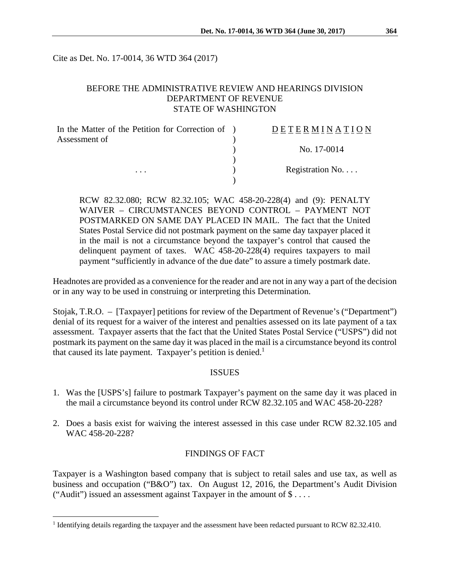Cite as Det. No. 17-0014, 36 WTD 364 (2017)

## BEFORE THE ADMINISTRATIVE REVIEW AND HEARINGS DIVISION DEPARTMENT OF REVENUE STATE OF WASHINGTON

| In the Matter of the Petition for Correction of ) | DETERMINATION             |
|---------------------------------------------------|---------------------------|
| Assessment of<br>$\cdots$                         |                           |
|                                                   | No. 17-0014               |
|                                                   |                           |
|                                                   | Registration $No. \ldots$ |
|                                                   |                           |

RCW 82.32.080; RCW 82.32.105; WAC 458-20-228(4) and (9): PENALTY WAIVER – CIRCUMSTANCES BEYOND CONTROL – PAYMENT NOT POSTMARKED ON SAME DAY PLACED IN MAIL. The fact that the United States Postal Service did not postmark payment on the same day taxpayer placed it in the mail is not a circumstance beyond the taxpayer's control that caused the delinquent payment of taxes. WAC 458-20-228(4) requires taxpayers to mail payment "sufficiently in advance of the due date" to assure a timely postmark date.

Headnotes are provided as a convenience for the reader and are not in any way a part of the decision or in any way to be used in construing or interpreting this Determination.

Stojak, T.R.O. – [Taxpayer] petitions for review of the Department of Revenue's ("Department") denial of its request for a waiver of the interest and penalties assessed on its late payment of a tax assessment. Taxpayer asserts that the fact that the United States Postal Service ("USPS") did not postmark its payment on the same day it was placed in the mail is a circumstance beyond its control that caused its late payment. Taxpayer's petition is denied.<sup>1</sup>

#### ISSUES

- 1. Was the [USPS's] failure to postmark Taxpayer's payment on the same day it was placed in the mail a circumstance beyond its control under RCW 82.32.105 and WAC 458-20-228?
- 2. Does a basis exist for waiving the interest assessed in this case under RCW 82.32.105 and WAC 458-20-228?

## FINDINGS OF FACT

Taxpayer is a Washington based company that is subject to retail sales and use tax, as well as business and occupation ("B&O") tax. On August 12, 2016, the Department's Audit Division ("Audit") issued an assessment against Taxpayer in the amount of  $\$\dots$ .

 $\overline{a}$ 

<sup>&</sup>lt;sup>1</sup> Identifying details regarding the taxpayer and the assessment have been redacted pursuant to RCW 82.32.410.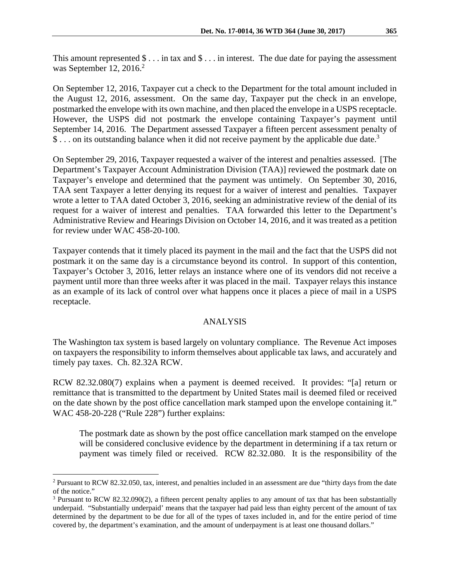This amount represented  $\$\dots$  in tax and  $\$\dots$  in interest. The due date for paying the assessment was September 12, 2016.<sup>2</sup>

On September 12, 2016, Taxpayer cut a check to the Department for the total amount included in the August 12, 2016, assessment. On the same day, Taxpayer put the check in an envelope, postmarked the envelope with its own machine, and then placed the envelope in a USPS receptacle. However, the USPS did not postmark the envelope containing Taxpayer's payment until September 14, 2016. The Department assessed Taxpayer a fifteen percent assessment penalty of  $\$\dots$  on its outstanding balance when it did not receive payment by the applicable due date.<sup>3</sup>

On September 29, 2016, Taxpayer requested a waiver of the interest and penalties assessed. [The Department's Taxpayer Account Administration Division (TAA)] reviewed the postmark date on Taxpayer's envelope and determined that the payment was untimely. On September 30, 2016, TAA sent Taxpayer a letter denying its request for a waiver of interest and penalties. Taxpayer wrote a letter to TAA dated October 3, 2016, seeking an administrative review of the denial of its request for a waiver of interest and penalties. TAA forwarded this letter to the Department's Administrative Review and Hearings Division on October 14, 2016, and it was treated as a petition for review under WAC 458-20-100.

Taxpayer contends that it timely placed its payment in the mail and the fact that the USPS did not postmark it on the same day is a circumstance beyond its control. In support of this contention, Taxpayer's October 3, 2016, letter relays an instance where one of its vendors did not receive a payment until more than three weeks after it was placed in the mail. Taxpayer relays this instance as an example of its lack of control over what happens once it places a piece of mail in a USPS receptacle.

## ANALYSIS

The Washington tax system is based largely on voluntary compliance. The Revenue Act imposes on taxpayers the responsibility to inform themselves about applicable tax laws, and accurately and timely pay taxes. Ch. 82.32A RCW.

RCW 82.32.080(7) explains when a payment is deemed received. It provides: "[a] return or remittance that is transmitted to the department by United States mail is deemed filed or received on the date shown by the post office cancellation mark stamped upon the envelope containing it." WAC 458-20-228 ("Rule 228") further explains:

The postmark date as shown by the post office cancellation mark stamped on the envelope will be considered conclusive evidence by the department in determining if a tax return or payment was timely filed or received. RCW 82.32.080. It is the responsibility of the

<sup>&</sup>lt;u>.</u> <sup>2</sup> Pursuant to RCW 82.32.050, tax, interest, and penalties included in an assessment are due "thirty days from the date" of the notice."

<sup>&</sup>lt;sup>3</sup> Pursuant to RCW 82.32.090(2), a fifteen percent penalty applies to any amount of tax that has been substantially underpaid. "Substantially underpaid' means that the taxpayer had paid less than eighty percent of the amount of tax determined by the department to be due for all of the types of taxes included in, and for the entire period of time covered by, the department's examination, and the amount of underpayment is at least one thousand dollars."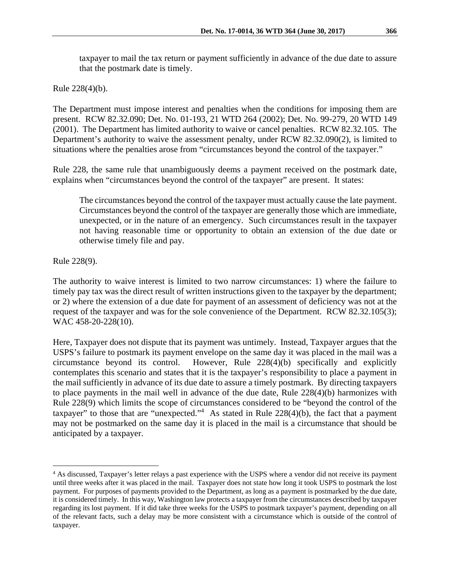taxpayer to mail the tax return or payment sufficiently in advance of the due date to assure that the postmark date is timely.

Rule 228(4)(b).

The Department must impose interest and penalties when the conditions for imposing them are present. RCW 82.32.090; Det. No. 01-193, 21 WTD 264 (2002); Det. No. 99-279, 20 WTD 149 (2001). The Department has limited authority to waive or cancel penalties. RCW 82.32.105. The Department's authority to waive the assessment penalty, under RCW 82.32.090(2), is limited to situations where the penalties arose from "circumstances beyond the control of the taxpayer."

Rule 228, the same rule that unambiguously deems a payment received on the postmark date, explains when "circumstances beyond the control of the taxpayer" are present. It states:

The circumstances beyond the control of the taxpayer must actually cause the late payment. Circumstances beyond the control of the taxpayer are generally those which are immediate, unexpected, or in the nature of an emergency. Such circumstances result in the taxpayer not having reasonable time or opportunity to obtain an extension of the due date or otherwise timely file and pay.

Rule 228(9).

 $\overline{a}$ 

The authority to waive interest is limited to two narrow circumstances: 1) where the failure to timely pay tax was the direct result of written instructions given to the taxpayer by the department; or 2) where the extension of a due date for payment of an assessment of deficiency was not at the request of the taxpayer and was for the sole convenience of the Department. RCW 82.32.105(3); WAC 458-20-228(10).

Here, Taxpayer does not dispute that its payment was untimely. Instead, Taxpayer argues that the USPS's failure to postmark its payment envelope on the same day it was placed in the mail was a circumstance beyond its control. However, Rule 228(4)(b) specifically and explicitly contemplates this scenario and states that it is the taxpayer's responsibility to place a payment in the mail sufficiently in advance of its due date to assure a timely postmark. By directing taxpayers to place payments in the mail well in advance of the due date, Rule 228(4)(b) harmonizes with Rule 228(9) which limits the scope of circumstances considered to be "beyond the control of the taxpayer" to those that are "unexpected."<sup>4</sup> As stated in Rule  $228(4)(b)$ , the fact that a payment may not be postmarked on the same day it is placed in the mail is a circumstance that should be anticipated by a taxpayer.

<sup>&</sup>lt;sup>4</sup> As discussed, Taxpayer's letter relays a past experience with the USPS where a vendor did not receive its payment until three weeks after it was placed in the mail. Taxpayer does not state how long it took USPS to postmark the lost payment. For purposes of payments provided to the Department, as long as a payment is postmarked by the due date, it is considered timely. In this way, Washington law protects a taxpayer from the circumstances described by taxpayer regarding its lost payment. If it did take three weeks for the USPS to postmark taxpayer's payment, depending on all of the relevant facts, such a delay may be more consistent with a circumstance which is outside of the control of taxpayer.